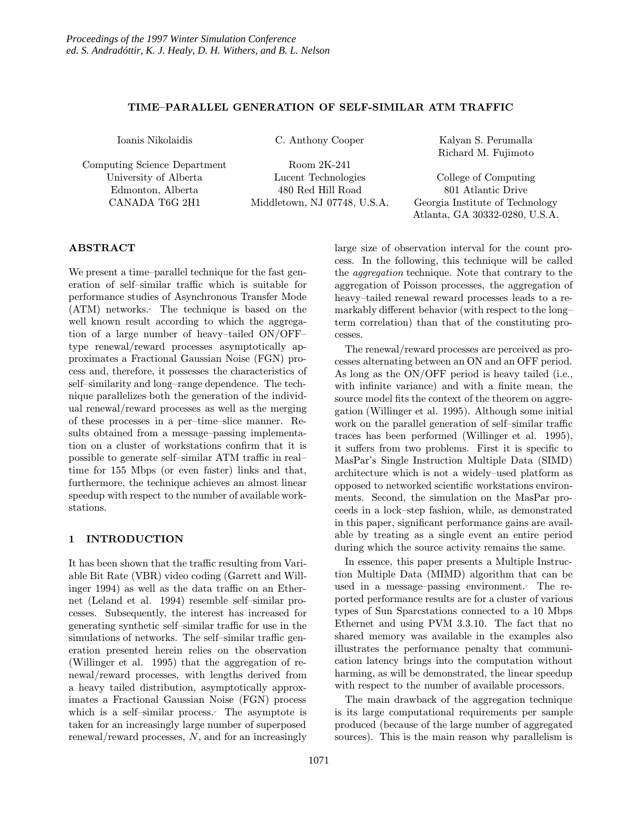#### TIME–PARALLEL GENERATION OF SELF-SIMILAR ATM TRAFFIC

Ioanis Nikolaidis

Computing Science Department University of Alberta Edmonton, Alberta CANADA T6G 2H1

C. Anthony Cooper

Room 2K-241 Lucent Technologies 480 Red Hill Road Middletown, NJ 07748, U.S.A. Kalyan S. Perumalla Richard M. Fujimoto

College of Computing 801 Atlantic Drive Georgia Institute of Technology Atlanta, GA 30332-0280, U.S.A.

# ABSTRACT

We present a time–parallel technique for the fast generation of self–similar traffic which is suitable for performance studies of Asynchronous Transfer Mode (ATM) networks. The technique is based on the well known result according to which the aggregation of a large number of heavy–tailed ON/OFF– type renewal/reward processes asymptotically approximates a Fractional Gaussian Noise (FGN) process and, therefore, it possesses the characteristics of self–similarity and long–range dependence. The technique parallelizes both the generation of the individual renewal/reward processes as well as the merging of these processes in a per–time–slice manner. Results obtained from a message–passing implementation on a cluster of workstations confirm that it is possible to generate self–similar ATM traffic in real– time for 155 Mbps (or even faster) links and that, furthermore, the technique achieves an almost linear speedup with respect to the number of available workstations.

### 1 INTRODUCTION

It has been shown that the traffic resulting from Variable Bit Rate (VBR) video coding (Garrett and Willinger 1994) as well as the data traffic on an Ethernet (Leland et al. 1994) resemble self–similar processes. Subsequently, the interest has increased for generating synthetic self–similar traffic for use in the simulations of networks. The self–similar traffic generation presented herein relies on the observation (Willinger et al. 1995) that the aggregation of renewal/reward processes, with lengths derived from a heavy tailed distribution, asymptotically approximates a Fractional Gaussian Noise (FGN) process which is a self–similar process. The asymptote is taken for an increasingly large number of superposed renewal/reward processes, N, and for an increasingly

large size of observation interval for the count process. In the following, this technique will be called the aggregation technique. Note that contrary to the aggregation of Poisson processes, the aggregation of heavy–tailed renewal reward processes leads to a remarkably different behavior (with respect to the long– term correlation) than that of the constituting processes.

The renewal/reward processes are perceived as processes alternating between an ON and an OFF period. As long as the ON/OFF period is heavy tailed (i.e., with infinite variance) and with a finite mean, the source model fits the context of the theorem on aggregation (Willinger et al. 1995). Although some initial work on the parallel generation of self–similar traffic traces has been performed (Willinger et al. 1995), it suffers from two problems. First it is specific to MasPar's Single Instruction Multiple Data (SIMD) architecture which is not a widely–used platform as opposed to networked scientific workstations environments. Second, the simulation on the MasPar proceeds in a lock–step fashion, while, as demonstrated in this paper, significant performance gains are available by treating as a single event an entire period during which the source activity remains the same.

In essence, this paper presents a Multiple Instruction Multiple Data (MIMD) algorithm that can be used in a message–passing environment. The reported performance results are for a cluster of various types of Sun Sparcstations connected to a 10 Mbps Ethernet and using PVM 3.3.10. The fact that no shared memory was available in the examples also illustrates the performance penalty that communication latency brings into the computation without harming, as will be demonstrated, the linear speedup with respect to the number of available processors.

The main drawback of the aggregation technique is its large computational requirements per sample produced (because of the large number of aggregated sources). This is the main reason why parallelism is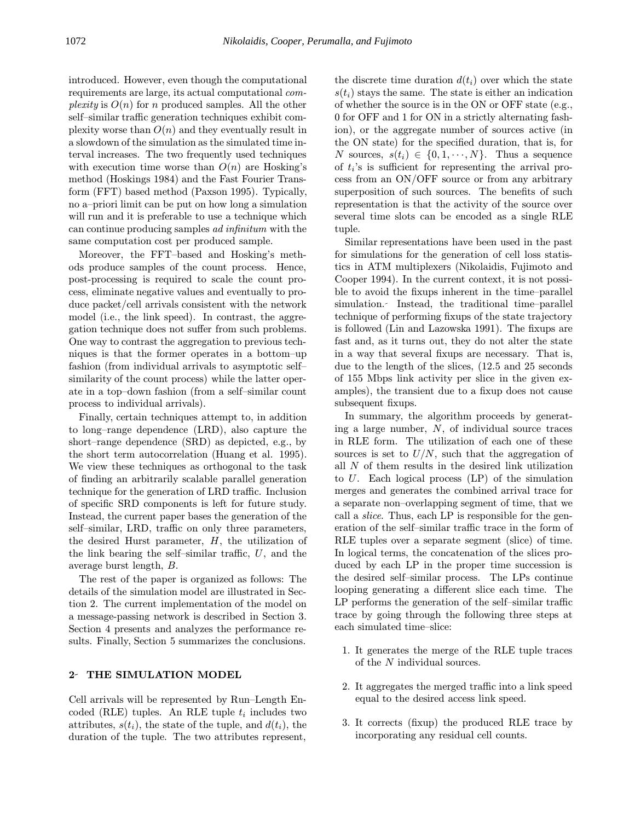introduced. However, even though the computational requirements are large, its actual computational complexity is  $O(n)$  for n produced samples. All the other self–similar traffic generation techniques exhibit complexity worse than  $O(n)$  and they eventually result in a slowdown of the simulation as the simulated time interval increases. The two frequently used techniques with execution time worse than  $O(n)$  are Hosking's method (Hoskings 1984) and the Fast Fourier Transform (FFT) based method (Paxson 1995). Typically, no a–priori limit can be put on how long a simulation will run and it is preferable to use a technique which can continue producing samples ad infinitum with the same computation cost per produced sample.

Moreover, the FFT–based and Hosking's methods produce samples of the count process. Hence, post-processing is required to scale the count process, eliminate negative values and eventually to produce packet/cell arrivals consistent with the network model (i.e., the link speed). In contrast, the aggregation technique does not suffer from such problems. One way to contrast the aggregation to previous techniques is that the former operates in a bottom–up fashion (from individual arrivals to asymptotic self– similarity of the count process) while the latter operate in a top–down fashion (from a self–similar count process to individual arrivals).

Finally, certain techniques attempt to, in addition to long–range dependence (LRD), also capture the short–range dependence (SRD) as depicted, e.g., by the short term autocorrelation (Huang et al. 1995). We view these techniques as orthogonal to the task of finding an arbitrarily scalable parallel generation technique for the generation of LRD traffic. Inclusion of specific SRD components is left for future study. Instead, the current paper bases the generation of the self–similar, LRD, traffic on only three parameters, the desired Hurst parameter,  $H$ , the utilization of the link bearing the self-similar traffic,  $U$ , and the average burst length, B.

The rest of the paper is organized as follows: The details of the simulation model are illustrated in Section 2. The current implementation of the model on a message-passing network is described in Section 3. Section 4 presents and analyzes the performance results. Finally, Section 5 summarizes the conclusions.

### 2- THE SIMULATION MODEL

Cell arrivals will be represented by Run–Length Encoded (RLE) tuples. An RLE tuple  $t_i$  includes two attributes,  $s(t_i)$ , the state of the tuple, and  $d(t_i)$ , the duration of the tuple. The two attributes represent,

the discrete time duration  $d(t_i)$  over which the state  $s(t_i)$  stays the same. The state is either an indication of whether the source is in the ON or OFF state (e.g., 0 for OFF and 1 for ON in a strictly alternating fashion), or the aggregate number of sources active (in the ON state) for the specified duration, that is, for N sources,  $s(t_i) \in \{0, 1, \dots, N\}$ . Thus a sequence of  $t_i$ 's is sufficient for representing the arrival process from an ON/OFF source or from any arbitrary superposition of such sources. The benefits of such representation is that the activity of the source over several time slots can be encoded as a single RLE tuple.

Similar representations have been used in the past for simulations for the generation of cell loss statistics in ATM multiplexers (Nikolaidis, Fujimoto and Cooper 1994). In the current context, it is not possible to avoid the fixups inherent in the time–parallel simulation. Instead, the traditional time–parallel technique of performing fixups of the state trajectory is followed (Lin and Lazowska 1991). The fixups are fast and, as it turns out, they do not alter the state in a way that several fixups are necessary. That is, due to the length of the slices, (12.5 and 25 seconds of 155 Mbps link activity per slice in the given examples), the transient due to a fixup does not cause subsequent fixups.

In summary, the algorithm proceeds by generating a large number,  $N$ , of individual source traces in RLE form. The utilization of each one of these sources is set to  $U/N$ , such that the aggregation of all  $N$  of them results in the desired link utilization to  $U$ . Each logical process  $(LP)$  of the simulation merges and generates the combined arrival trace for a separate non–overlapping segment of time, that we call a slice. Thus, each LP is responsible for the generation of the self–similar traffic trace in the form of RLE tuples over a separate segment (slice) of time. In logical terms, the concatenation of the slices produced by each LP in the proper time succession is the desired self–similar process. The LPs continue looping generating a different slice each time. The LP performs the generation of the self–similar traffic trace by going through the following three steps at each simulated time–slice:

- 1. It generates the merge of the RLE tuple traces of the N individual sources.
- 2. It aggregates the merged traffic into a link speed equal to the desired access link speed.
- 3. It corrects (fixup) the produced RLE trace by incorporating any residual cell counts.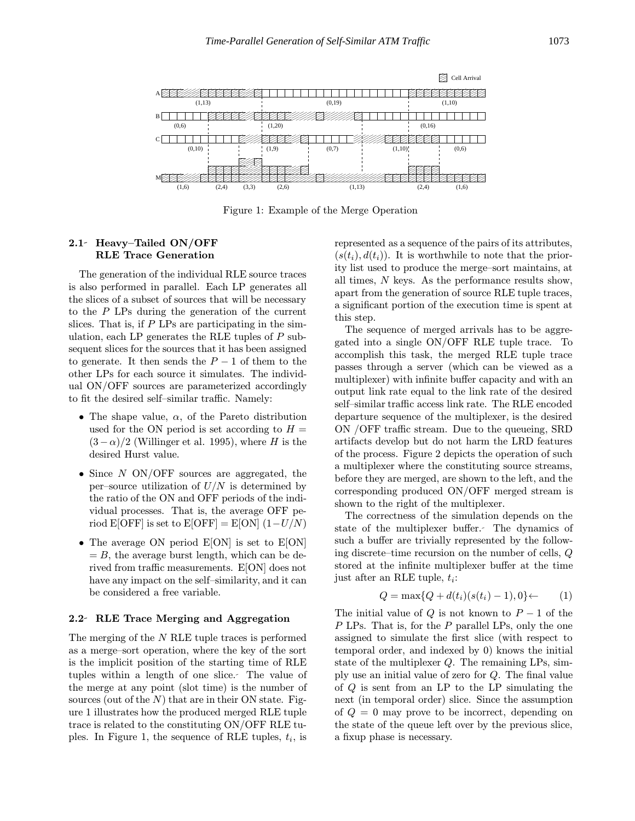

Figure 1: Example of the Merge Operation

### 2.1- Heavy-Tailed ON/OFF RLE Trace Generation

The generation of the individual RLE source traces is also performed in parallel. Each LP generates all the slices of a subset of sources that will be necessary to the P LPs during the generation of the current slices. That is, if  $P$  LPs are participating in the simulation, each LP generates the RLE tuples of  $P$  subsequent slices for the sources that it has been assigned to generate. It then sends the  $P-1$  of them to the other LPs for each source it simulates. The individual ON/OFF sources are parameterized accordingly to fit the desired self–similar traffic. Namely:

- The shape value,  $\alpha$ , of the Pareto distribution used for the ON period is set according to  $H =$  $(3-\alpha)/2$  (Willinger et al. 1995), where H is the desired Hurst value.
- Since N ON/OFF sources are aggregated, the per–source utilization of  $U/N$  is determined by the ratio of the ON and OFF periods of the individual processes. That is, the average OFF period E[OFF] is set to E[OFF] = E[ON]  $(1-U/N)$
- The average ON period E[ON] is set to E[ON]  $=$  B, the average burst length, which can be derived from traffic measurements. E[ON] does not have any impact on the self–similarity, and it can be considered a free variable.

## 2.2 RLE Trace Merging and Aggregation

The merging of the N RLE tuple traces is performed as a merge–sort operation, where the key of the sort is the implicit position of the starting time of RLE tuples within a length of one slice. The value of the merge at any point (slot time) is the number of sources (out of the  $N$ ) that are in their ON state. Figure 1 illustrates how the produced merged RLE tuple trace is related to the constituting ON/OFF RLE tuples. In Figure 1, the sequence of RLE tuples,  $t_i$ , is

represented as a sequence of the pairs of its attributes,  $(s(t_i), d(t_i))$ . It is worthwhile to note that the priority list used to produce the merge–sort maintains, at all times, N keys. As the performance results show, apart from the generation of source RLE tuple traces, a significant portion of the execution time is spent at this step.

The sequence of merged arrivals has to be aggregated into a single ON/OFF RLE tuple trace. To accomplish this task, the merged RLE tuple trace passes through a server (which can be viewed as a multiplexer) with infinite buffer capacity and with an output link rate equal to the link rate of the desired self–similar traffic access link rate. The RLE encoded departure sequence of the multiplexer, is the desired ON /OFF traffic stream. Due to the queueing, SRD artifacts develop but do not harm the LRD features of the process. Figure 2 depicts the operation of such a multiplexer where the constituting source streams, before they are merged, are shown to the left, and the corresponding produced ON/OFF merged stream is shown to the right of the multiplexer.

The correctness of the simulation depends on the state of the multiplexer buffer. The dynamics of such a buffer are trivially represented by the following discrete–time recursion on the number of cells, Q stored at the infinite multiplexer buffer at the time just after an RLE tuple,  $t_i$ :

$$
Q = \max\{Q + d(t_i)(s(t_i) - 1), 0\} \leftarrow \qquad (1)
$$

The initial value of Q is not known to  $P-1$  of the P LPs. That is, for the P parallel LPs, only the one assigned to simulate the first slice (with respect to temporal order, and indexed by 0) knows the initial state of the multiplexer  $Q$ . The remaining LPs, simply use an initial value of zero for Q. The final value of Q is sent from an LP to the LP simulating the next (in temporal order) slice. Since the assumption of  $Q = 0$  may prove to be incorrect, depending on the state of the queue left over by the previous slice, a fixup phase is necessary.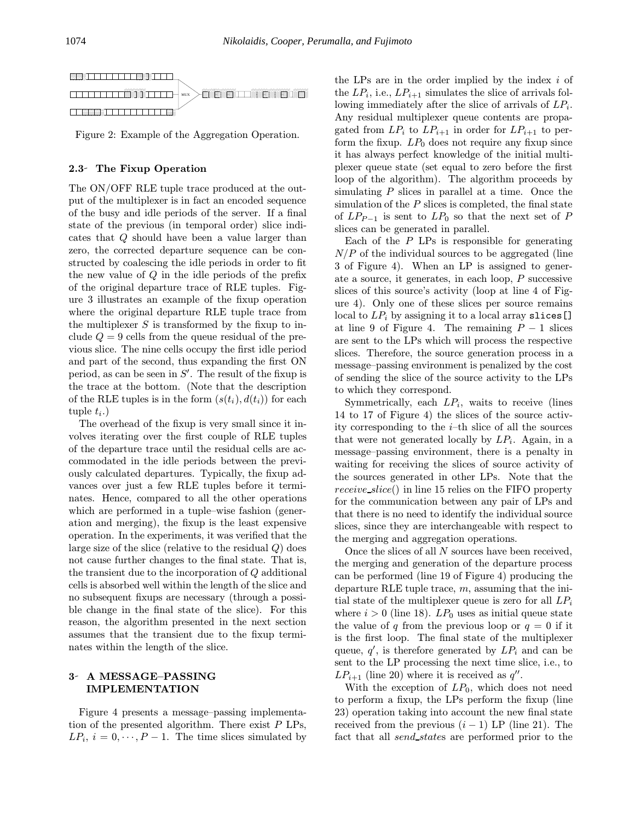

Figure 2: Example of the Aggregation Operation.

#### 2.3- The Fixup Operation

The ON/OFF RLE tuple trace produced at the output of the multiplexer is in fact an encoded sequence of the busy and idle periods of the server. If a final state of the previous (in temporal order) slice indicates that Q should have been a value larger than zero, the corrected departure sequence can be constructed by coalescing the idle periods in order to fit the new value of Q in the idle periods of the prefix of the original departure trace of RLE tuples. Figure 3 illustrates an example of the fixup operation where the original departure RLE tuple trace from the multiplexer  $S$  is transformed by the fixup to include  $Q = 9$  cells from the queue residual of the previous slice. The nine cells occupy the first idle period and part of the second, thus expanding the first ON period, as can be seen in  $S'$ . The result of the fixup is the trace at the bottom. (Note that the description of the RLE tuples is in the form  $(s(t_i), d(t_i))$  for each tuple  $t_i$ .)

The overhead of the fixup is very small since it involves iterating over the first couple of RLE tuples of the departure trace until the residual cells are accommodated in the idle periods between the previously calculated departures. Typically, the fixup advances over just a few RLE tuples before it terminates. Hence, compared to all the other operations which are performed in a tuple–wise fashion (generation and merging), the fixup is the least expensive operation. In the experiments, it was verified that the large size of the slice (relative to the residual  $Q$ ) does not cause further changes to the final state. That is, the transient due to the incorporation of Q additional cells is absorbed well within the length of the slice and no subsequent fixups are necessary (through a possible change in the final state of the slice). For this reason, the algorithm presented in the next section assumes that the transient due to the fixup terminates within the length of the slice.

## 3- A MESSAGE-PASSING IMPLEMENTATION

Figure 4 presents a message–passing implementation of the presented algorithm. There exist  $P$  LPs,  $LP_i$ ,  $i = 0, \dots, P-1$ . The time slices simulated by the LPs are in the order implied by the index  $i$  of the  $LP_i$ , i.e.,  $LP_{i+1}$  simulates the slice of arrivals following immediately after the slice of arrivals of  $LP_i$ . Any residual multiplexer queue contents are propagated from  $LP_i$  to  $LP_{i+1}$  in order for  $LP_{i+1}$  to perform the fixup.  $LP_0$  does not require any fixup since it has always perfect knowledge of the initial multiplexer queue state (set equal to zero before the first loop of the algorithm). The algorithm proceeds by simulating  $P$  slices in parallel at a time. Once the simulation of the  $P$  slices is completed, the final state of  $LP_{P-1}$  is sent to  $LP_0$  so that the next set of P slices can be generated in parallel.

Each of the  $P$  LPs is responsible for generating  $N/P$  of the individual sources to be aggregated (line 3 of Figure 4). When an LP is assigned to generate a source, it generates, in each loop, P successive slices of this source's activity (loop at line 4 of Figure 4). Only one of these slices per source remains local to  $LP_i$  by assigning it to a local array slices [] at line 9 of Figure 4. The remaining  $P-1$  slices are sent to the LPs which will process the respective slices. Therefore, the source generation process in a message–passing environment is penalized by the cost of sending the slice of the source activity to the LPs to which they correspond.

Symmetrically, each  $LP_i$ , waits to receive (lines 14 to 17 of Figure 4) the slices of the source activity corresponding to the  $i$ -th slice of all the sources that were not generated locally by  $LP_i$ . Again, in a message–passing environment, there is a penalty in waiting for receiving the slices of source activity of the sources generated in other LPs. Note that the receive slice() in line 15 relies on the FIFO property for the communication between any pair of LPs and that there is no need to identify the individual source slices, since they are interchangeable with respect to the merging and aggregation operations.

Once the slices of all N sources have been received, the merging and generation of the departure process can be performed (line 19 of Figure 4) producing the departure RLE tuple trace,  $m$ , assuming that the initial state of the multiplexer queue is zero for all  $LP_i$ where  $i > 0$  (line 18).  $LP_0$  uses as initial queue state the value of q from the previous loop or  $q = 0$  if it is the first loop. The final state of the multiplexer queue,  $q'$ , is therefore generated by  $LP_i$  and can be sent to the LP processing the next time slice, i.e., to  $LP_{i+1}$  (line 20) where it is received as  $q''$ .

With the exception of  $LP_0$ , which does not need to perform a fixup, the LPs perform the fixup (line 23) operation taking into account the new final state received from the previous  $(i - 1)$  LP (line 21). The fact that all send states are performed prior to the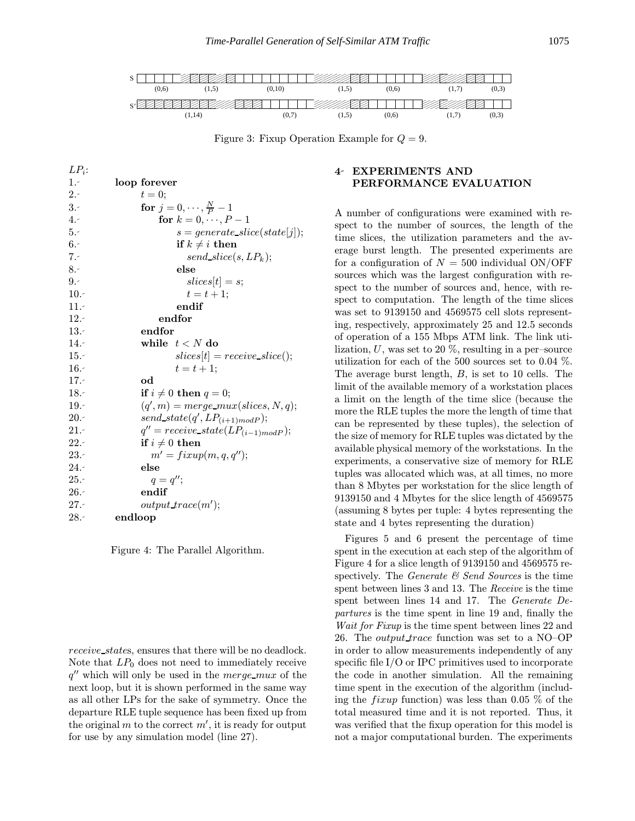

Figure 3: Fixup Operation Example for  $Q = 9$ .

| $LP_i$ : |                                         |
|----------|-----------------------------------------|
| 1.7      | loop forever                            |
| 2.5      | $t=0$                                   |
| 3.7      | for $j=0,\cdots,\frac{N}{P}-1$          |
| 4.7      | for $k = 0, \dots, P - 1$               |
| 5.1      | $s = generate\_slice(state[j]);$        |
| $6 -$    | if $k \neq i$ then                      |
| $7 -$    | $send\_slice(s, LP_k);$                 |
| $8 -$    | else                                    |
| $9 -$    | $slices[t] = s;$                        |
| 10.4     | $t = t + 1;$                            |
| 11.7     | $\boldsymbol{\mathrm{endif}}$           |
| 12.7     | endfor                                  |
| 13.7     | endfor                                  |
| 14.7     | while<br>$t < N$ do                     |
| 15.7     | $slices[t] = receive\_slice();$         |
| 16.7     | $t = t + 1$ :                           |
| 17.7     | od                                      |
| 18.7     | if $i \neq 0$ then $q = 0$ ;            |
| 19.7     | $(q', m) = merge\_mux(slices, N, q);$   |
| 20.4     | send_state(q', $LP_{(i+1)modP}$ );      |
| $21 -$   | $q'' = receive\_state(LP_{(i-1)modP});$ |
| $22 -$   | if $i \neq 0$ then                      |
| 23.7     | $m' = fixup(m, q, q'');$                |
| 24.7     | else                                    |
| $25 -$   | $q=q''$                                 |
| 26.7     | endif                                   |
| $27 -$   | $output\_trace(m');$                    |
| $28. -$  | endloop                                 |

Figure 4: The Parallel Algorithm.

receive states, ensures that there will be no deadlock. Note that  $LP_0$  does not need to immediately receive  $q''$  which will only be used in the merge mux of the next loop, but it is shown performed in the same way as all other LPs for the sake of symmetry. Once the departure RLE tuple sequence has been fixed up from the original  $m$  to the correct  $m'$ , it is ready for output for use by any simulation model (line 27).

# 4 EXPERIMENTS AND PERFORMANCE EVALUATION

A number of configurations were examined with respect to the number of sources, the length of the time slices, the utilization parameters and the average burst length. The presented experiments are for a configuration of  $N = 500$  individual ON/OFF sources which was the largest configuration with respect to the number of sources and, hence, with respect to computation. The length of the time slices was set to 9139150 and 4569575 cell slots representing, respectively, approximately 25 and 12.5 seconds of operation of a 155 Mbps ATM link. The link utilization, U, was set to 20  $\%$ , resulting in a per–source utilization for each of the 500 sources set to 0.04 %. The average burst length, B, is set to 10 cells. The limit of the available memory of a workstation places a limit on the length of the time slice (because the more the RLE tuples the more the length of time that can be represented by these tuples), the selection of the size of memory for RLE tuples was dictated by the available physical memory of the workstations. In the experiments, a conservative size of memory for RLE tuples was allocated which was, at all times, no more than 8 Mbytes per workstation for the slice length of 9139150 and 4 Mbytes for the slice length of 4569575 (assuming 8 bytes per tuple: 4 bytes representing the state and 4 bytes representing the duration)

Figures 5 and 6 present the percentage of time spent in the execution at each step of the algorithm of Figure 4 for a slice length of 9139150 and 4569575 respectively. The Generate  $\mathcal B$  Send Sources is the time spent between lines 3 and 13. The Receive is the time spent between lines 14 and 17. The Generate Departures is the time spent in line 19 and, finally the Wait for Fixup is the time spent between lines 22 and 26. The output trace function was set to a NO–OP in order to allow measurements independently of any specific file I/O or IPC primitives used to incorporate the code in another simulation. All the remaining time spent in the execution of the algorithm (including the *fixup* function) was less than 0.05  $\%$  of the total measured time and it is not reported. Thus, it was verified that the fixup operation for this model is not a major computational burden. The experiments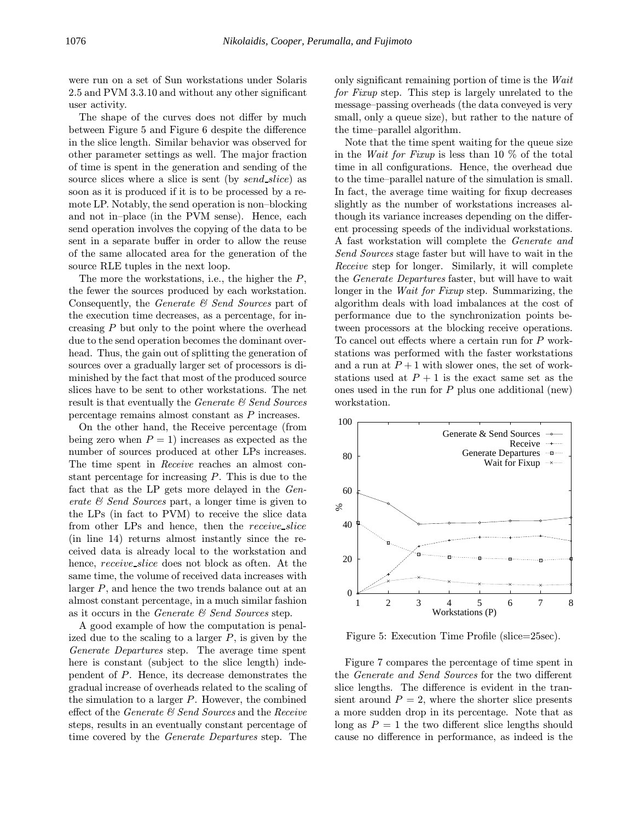were run on a set of Sun workstations under Solaris 2.5 and PVM 3.3.10 and without any other significant user activity.

The shape of the curves does not differ by much between Figure 5 and Figure 6 despite the difference in the slice length. Similar behavior was observed for other parameter settings as well. The major fraction of time is spent in the generation and sending of the source slices where a slice is sent (by *send slice*) as soon as it is produced if it is to be processed by a remote LP. Notably, the send operation is non–blocking and not in–place (in the PVM sense). Hence, each send operation involves the copying of the data to be sent in a separate buffer in order to allow the reuse of the same allocated area for the generation of the source RLE tuples in the next loop.

The more the workstations, i.e., the higher the  $P$ , the fewer the sources produced by each workstation. Consequently, the *Generate & Send Sources* part of the execution time decreases, as a percentage, for increasing P but only to the point where the overhead due to the send operation becomes the dominant overhead. Thus, the gain out of splitting the generation of sources over a gradually larger set of processors is diminished by the fact that most of the produced source slices have to be sent to other workstations. The net result is that eventually the Generate  $\mathcal C$  Send Sources percentage remains almost constant as P increases.

On the other hand, the Receive percentage (from being zero when  $P = 1$ ) increases as expected as the number of sources produced at other LPs increases. The time spent in Receive reaches an almost constant percentage for increasing P. This is due to the fact that as the LP gets more delayed in the Generate  $\mathcal C$  Send Sources part, a longer time is given to the LPs (in fact to PVM) to receive the slice data from other LPs and hence, then the receive slice (in line 14) returns almost instantly since the received data is already local to the workstation and hence, *receive slice* does not block as often. At the same time, the volume of received data increases with larger P, and hence the two trends balance out at an almost constant percentage, in a much similar fashion as it occurs in the *Generate*  $\mathcal{C}$  Send Sources step.

A good example of how the computation is penalized due to the scaling to a larger  $P$ , is given by the Generate Departures step. The average time spent here is constant (subject to the slice length) independent of P. Hence, its decrease demonstrates the gradual increase of overheads related to the scaling of the simulation to a larger  $P$ . However, the combined effect of the Generate & Send Sources and the Receive steps, results in an eventually constant percentage of time covered by the Generate Departures step. The

only significant remaining portion of time is the Wait for Fixup step. This step is largely unrelated to the message–passing overheads (the data conveyed is very small, only a queue size), but rather to the nature of the time–parallel algorithm.

Note that the time spent waiting for the queue size in the Wait for Fixup is less than 10  $\%$  of the total time in all configurations. Hence, the overhead due to the time–parallel nature of the simulation is small. In fact, the average time waiting for fixup decreases slightly as the number of workstations increases although its variance increases depending on the different processing speeds of the individual workstations. A fast workstation will complete the Generate and Send Sources stage faster but will have to wait in the Receive step for longer. Similarly, it will complete the Generate Departures faster, but will have to wait longer in the Wait for Fixup step. Summarizing, the algorithm deals with load imbalances at the cost of performance due to the synchronization points between processors at the blocking receive operations. To cancel out effects where a certain run for  $P$  workstations was performed with the faster workstations and a run at  $P+1$  with slower ones, the set of workstations used at  $P + 1$  is the exact same set as the ones used in the run for  $P$  plus one additional (new) workstation.



Figure 5: Execution Time Profile (slice=25sec).

Figure 7 compares the percentage of time spent in the Generate and Send Sources for the two different slice lengths. The difference is evident in the transient around  $P = 2$ , where the shorter slice presents a more sudden drop in its percentage. Note that as long as  $P = 1$  the two different slice lengths should cause no difference in performance, as indeed is the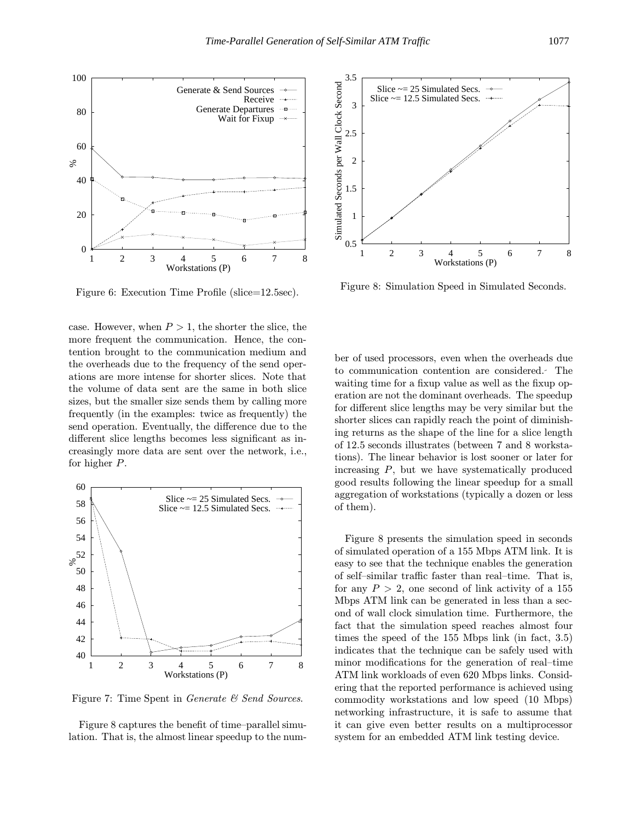

Figure 6: Execution Time Profile (slice=12.5sec).

case. However, when  $P > 1$ , the shorter the slice, the more frequent the communication. Hence, the contention brought to the communication medium and the overheads due to the frequency of the send operations are more intense for shorter slices. Note that the volume of data sent are the same in both slice sizes, but the smaller size sends them by calling more frequently (in the examples: twice as frequently) the send operation. Eventually, the difference due to the different slice lengths becomes less significant as increasingly more data are sent over the network, i.e., for higher P.



Figure 7: Time Spent in *Generate & Send Sources*.

Figure 8 captures the benefit of time–parallel simulation. That is, the almost linear speedup to the num-



Figure 8: Simulation Speed in Simulated Seconds.

ber of used processors, even when the overheads due to communication contention are considered. The waiting time for a fixup value as well as the fixup operation are not the dominant overheads. The speedup for different slice lengths may be very similar but the shorter slices can rapidly reach the point of diminishing returns as the shape of the line for a slice length of 12.5 seconds illustrates (between 7 and 8 workstations). The linear behavior is lost sooner or later for increasing P, but we have systematically produced good results following the linear speedup for a small aggregation of workstations (typically a dozen or less of them).

Figure 8 presents the simulation speed in seconds of simulated operation of a 155 Mbps ATM link. It is easy to see that the technique enables the generation of self–similar traffic faster than real–time. That is, for any  $P > 2$ , one second of link activity of a 155 Mbps ATM link can be generated in less than a second of wall clock simulation time. Furthermore, the fact that the simulation speed reaches almost four times the speed of the 155 Mbps link (in fact, 3.5) indicates that the technique can be safely used with minor modifications for the generation of real–time ATM link workloads of even 620 Mbps links. Considering that the reported performance is achieved using commodity workstations and low speed (10 Mbps) networking infrastructure, it is safe to assume that it can give even better results on a multiprocessor system for an embedded ATM link testing device.